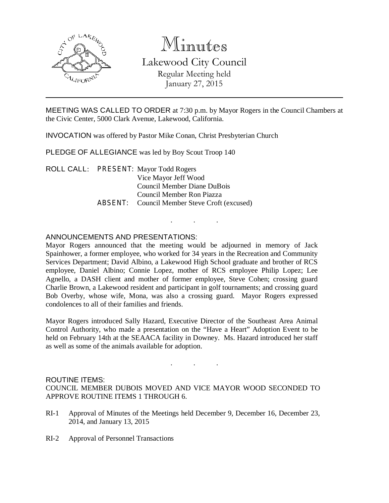

# Minutes

Lakewood City Council Regular Meeting held January 27, 2015

MEETING WAS CALLED TO ORDER at 7:30 p.m. by Mayor Rogers in the Council Chambers at the Civic Center, 5000 Clark Avenue, Lakewood, California.

. . .

INVOCATION was offered by Pastor Mike Conan, Christ Presbyterian Church

PLEDGE OF ALLEGIANCE was led by Boy Scout Troop 140

ROLL CALL: PRESENT: Mayor Todd Rogers Vice Mayor Jeff Wood Council Member Diane DuBois Council Member Ron Piazza ABSENT: Council Member Steve Croft (excused)

## ANNOUNCEMENTS AND PRESENTATIONS:

Mayor Rogers announced that the meeting would be adjourned in memory of Jack Spainhower, a former employee, who worked for 34 years in the Recreation and Community Services Department; David Albino, a Lakewood High School graduate and brother of RCS employee, Daniel Albino; Connie Lopez, mother of RCS employee Philip Lopez; Lee Agnello, a DASH client and mother of former employee, Steve Cohen; crossing guard Charlie Brown, a Lakewood resident and participant in golf tournaments; and crossing guard Bob Overby, whose wife, Mona, was also a crossing guard. Mayor Rogers expressed condolences to all of their families and friends.

Mayor Rogers introduced Sally Hazard, Executive Director of the Southeast Area Animal Control Authority, who made a presentation on the "Have a Heart" Adoption Event to be held on February 14th at the SEAACA facility in Downey. Ms. Hazard introduced her staff as well as some of the animals available for adoption.

#### ROUTINE ITEMS:

COUNCIL MEMBER DUBOIS MOVED AND VICE MAYOR WOOD SECONDED TO APPROVE ROUTINE ITEMS 1 THROUGH 6.

. . .

- RI-1 Approval of Minutes of the Meetings held December 9, December 16, December 23, 2014, and January 13, 2015
- RI-2 Approval of Personnel Transactions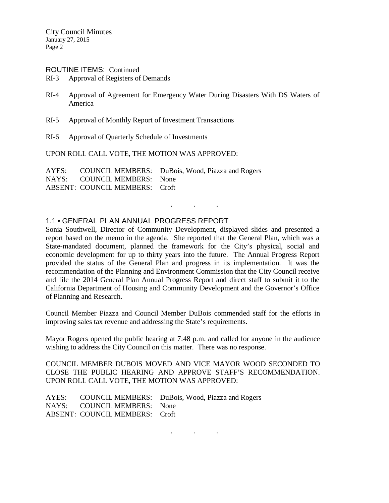#### ROUTINE ITEMS: Continued

- RI-3 Approval of Registers of Demands
- RI-4 Approval of Agreement for Emergency Water During Disasters With DS Waters of America
- RI-5 Approval of Monthly Report of Investment Transactions
- RI-6 Approval of Quarterly Schedule of Investments

UPON ROLL CALL VOTE, THE MOTION WAS APPROVED:

AYES: COUNCIL MEMBERS: DuBois, Wood, Piazza and Rogers NAYS: COUNCIL MEMBERS: None ABSENT: COUNCIL MEMBERS: Croft

#### 1.1 • GENERAL PLAN ANNUAL PROGRESS REPORT

Sonia Southwell, Director of Community Development, displayed slides and presented a report based on the memo in the agenda. She reported that the General Plan, which was a State-mandated document, planned the framework for the City's physical, social and economic development for up to thirty years into the future. The Annual Progress Report provided the status of the General Plan and progress in its implementation. It was the recommendation of the Planning and Environment Commission that the City Council receive and file the 2014 General Plan Annual Progress Report and direct staff to submit it to the California Department of Housing and Community Development and the Governor's Office of Planning and Research.

. . .

Council Member Piazza and Council Member DuBois commended staff for the efforts in improving sales tax revenue and addressing the State's requirements.

Mayor Rogers opened the public hearing at 7:48 p.m. and called for anyone in the audience wishing to address the City Council on this matter. There was no response.

COUNCIL MEMBER DUBOIS MOVED AND VICE MAYOR WOOD SECONDED TO CLOSE THE PUBLIC HEARING AND APPROVE STAFF'S RECOMMENDATION. UPON ROLL CALL VOTE, THE MOTION WAS APPROVED:

|                                | AYES: COUNCIL MEMBERS: DuBois, Wood, Piazza and Rogers |
|--------------------------------|--------------------------------------------------------|
| NAYS: COUNCIL MEMBERS: None    |                                                        |
| ABSENT: COUNCIL MEMBERS: Croft |                                                        |

. . .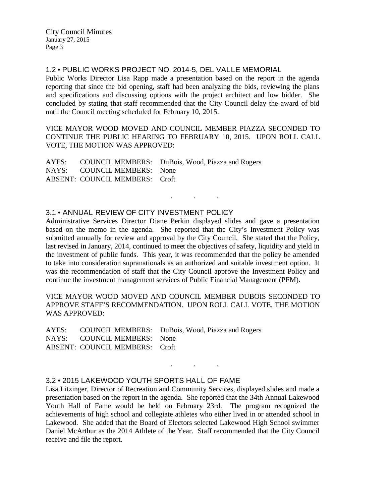City Council Minutes January 27, 2015 Page 3

1.2 • PUBLIC WORKS PROJECT NO. 2014-5, DEL VALLE MEMORIAL

Public Works Director Lisa Rapp made a presentation based on the report in the agenda reporting that since the bid opening, staff had been analyzing the bids, reviewing the plans and specifications and discussing options with the project architect and low bidder. She concluded by stating that staff recommended that the City Council delay the award of bid until the Council meeting scheduled for February 10, 2015.

VICE MAYOR WOOD MOVED AND COUNCIL MEMBER PIAZZA SECONDED TO CONTINUE THE PUBLIC HEARING TO FEBRUARY 10, 2015. UPON ROLL CALL VOTE, THE MOTION WAS APPROVED:

|                                | AYES: COUNCIL MEMBERS: DuBois, Wood, Piazza and Rogers |
|--------------------------------|--------------------------------------------------------|
| NAYS: COUNCIL MEMBERS: None    |                                                        |
| ABSENT: COUNCIL MEMBERS: Croft |                                                        |

### 3.1 • ANNUAL REVIEW OF CITY INVESTMENT POLICY

Administrative Services Director Diane Perkin displayed slides and gave a presentation based on the memo in the agenda. She reported that the City's Investment Policy was submitted annually for review and approval by the City Council. She stated that the Policy, last revised in January, 2014, continued to meet the objectives of safety, liquidity and yield in the investment of public funds. This year, it was recommended that the policy be amended to take into consideration supranationals as an authorized and suitable investment option. It was the recommendation of staff that the City Council approve the Investment Policy and continue the investment management services of Public Financial Management (PFM).

. . .

VICE MAYOR WOOD MOVED AND COUNCIL MEMBER DUBOIS SECONDED TO APPROVE STAFF'S RECOMMENDATION. UPON ROLL CALL VOTE, THE MOTION WAS APPROVED:

|                                | AYES: COUNCIL MEMBERS: DuBois, Wood, Piazza and Rogers |
|--------------------------------|--------------------------------------------------------|
| NAYS: COUNCIL MEMBERS: None    |                                                        |
| ABSENT: COUNCIL MEMBERS: Croft |                                                        |

## 3.2 • 2015 LAKEWOOD YOUTH SPORTS HALL OF FAME

Lisa Litzinger, Director of Recreation and Community Services, displayed slides and made a presentation based on the report in the agenda. She reported that the 34th Annual Lakewood Youth Hall of Fame would be held on February 23rd. The program recognized the achievements of high school and collegiate athletes who either lived in or attended school in Lakewood. She added that the Board of Electors selected Lakewood High School swimmer Daniel McArthur as the 2014 Athlete of the Year. Staff recommended that the City Council receive and file the report.

. . .